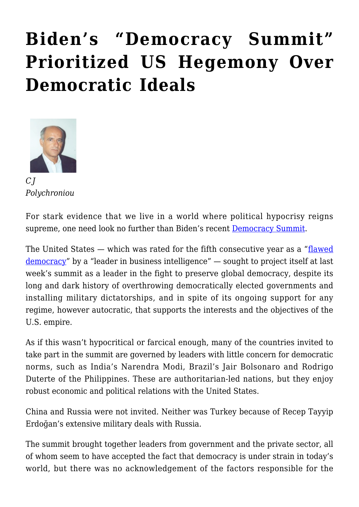## **[Biden's "Democracy Summit"](https://rozenbergquarterly.com/bidens-democracy-summit-prioritized-us-hegemony-over-democratic-ideals/) [Prioritized US Hegemony Over](https://rozenbergquarterly.com/bidens-democracy-summit-prioritized-us-hegemony-over-democratic-ideals/) [Democratic Ideals](https://rozenbergquarterly.com/bidens-democracy-summit-prioritized-us-hegemony-over-democratic-ideals/)**



*C J Polychroniou*

For stark evidence that we live in a world where political hypocrisy reigns supreme, one need look no further than Biden's recent **[Democracy Summit.](https://truthout.org/articles/bidens-democracy-summit-is-a-pr-stunt-we-need-real-international-democracy/)** 

The United States — which was rated for the fifth consecutive year as a "[flawed](https://thefulcrum.us/big-picture/the-economist-democracy-index)" [democracy"](https://thefulcrum.us/big-picture/the-economist-democracy-index) by a "leader in business intelligence" — sought to project itself at last week's summit as a leader in the fight to preserve global democracy, despite its long and dark history of overthrowing democratically elected governments and installing military dictatorships, and in spite of its ongoing support for any regime, however autocratic, that supports the interests and the objectives of the U.S. empire.

As if this wasn't hypocritical or farcical enough, many of the countries invited to take part in the summit are governed by leaders with little concern for democratic norms, such as India's Narendra Modi, Brazil's Jair Bolsonaro and Rodrigo Duterte of the Philippines. These are authoritarian-led nations, but they enjoy robust economic and political relations with the United States.

China and Russia were not invited. Neither was Turkey because of Recep Tayyip Erdoğan's extensive military deals with Russia.

The summit brought together leaders from government and the private sector, all of whom seem to have accepted the fact that democracy is under strain in today's world, but there was no acknowledgement of the factors responsible for the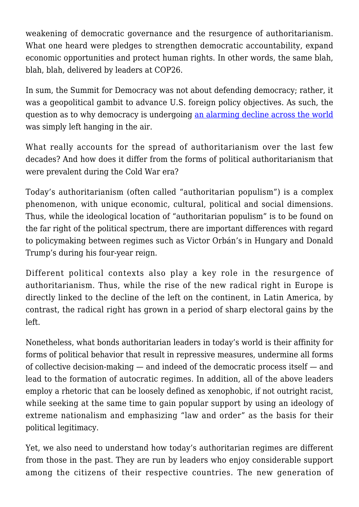weakening of democratic governance and the resurgence of authoritarianism. What one heard were pledges to strengthen democratic accountability, expand economic opportunities and protect human rights. In other words, the same blah, blah, blah, delivered by leaders at COP26.

In sum, the Summit for Democracy was not about defending democracy; rather, it was a geopolitical gambit to advance U.S. foreign policy objectives. As such, the question as to why democracy is undergoing [an alarming decline across the world](https://freedomhouse.org/article/new-report-global-decline-democracy-has-accelerated) was simply left hanging in the air.

What really accounts for the spread of authoritarianism over the last few decades? And how does it differ from the forms of political authoritarianism that were prevalent during the Cold War era?

Today's authoritarianism (often called "authoritarian populism") is a complex phenomenon, with unique economic, cultural, political and social dimensions. Thus, while the ideological location of "authoritarian populism" is to be found on the far right of the political spectrum, there are important differences with regard to policymaking between regimes such as Victor Orbán's in Hungary and Donald Trump's during his four-year reign.

Different political contexts also play a key role in the resurgence of authoritarianism. Thus, while the rise of the new radical right in Europe is directly linked to the decline of the left on the continent, in Latin America, by contrast, the radical right has grown in a period of sharp electoral gains by the left.

Nonetheless, what bonds authoritarian leaders in today's world is their affinity for forms of political behavior that result in repressive measures, undermine all forms of collective decision-making — and indeed of the democratic process itself — and lead to the formation of autocratic regimes. In addition, all of the above leaders employ a rhetoric that can be loosely defined as xenophobic, if not outright racist, while seeking at the same time to gain popular support by using an ideology of extreme nationalism and emphasizing "law and order" as the basis for their political legitimacy.

Yet, we also need to understand how today's authoritarian regimes are different from those in the past. They are run by leaders who enjoy considerable support among the citizens of their respective countries. The new generation of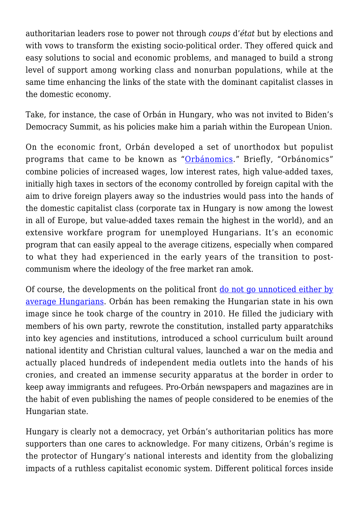authoritarian leaders rose to power not through *coups* d'*état* but by elections and with vows to transform the existing socio-political order. They offered quick and easy solutions to social and economic problems, and managed to build a strong level of support among working class and nonurban populations, while at the same time enhancing the links of the state with the dominant capitalist classes in the domestic economy.

Take, for instance, the case of Orbán in Hungary, who was not invited to Biden's Democracy Summit, as his policies make him a pariah within the European Union.

On the economic front, Orbán developed a set of unorthodox but populist programs that came to be known as "[Orbánomics.](https://www.nytimes.com/2018/04/03/world/europe/viktor-orban-hungary-economy-election.html)" Briefly, "Orbánomics" combine policies of increased wages, low interest rates, high value-added taxes, initially high taxes in sectors of the economy controlled by foreign capital with the aim to drive foreign players away so the industries would pass into the hands of the domestic capitalist class (corporate tax in Hungary is now among the lowest in all of Europe, but value-added taxes remain the highest in the world), and an extensive workfare program for unemployed Hungarians. It's an economic program that can easily appeal to the average citizens, especially when compared to what they had experienced in the early years of the transition to postcommunism where the ideology of the free market ran amok.

Of course, the developments on the political front [do not go unnoticed either by](https://www.npr.org/2019/05/08/720015059/outlets-strive-for-independence-in-hungary-where-most-media-back-the-government) [average Hungarians](https://www.npr.org/2019/05/08/720015059/outlets-strive-for-independence-in-hungary-where-most-media-back-the-government). Orbán has been remaking the Hungarian state in his own image since he took charge of the country in 2010. He filled the judiciary with members of his own party, rewrote the constitution, installed party apparatchiks into key agencies and institutions, introduced a school curriculum built around national identity and Christian cultural values, launched a war on the media and actually placed hundreds of independent media outlets into the hands of his cronies, and created an immense security apparatus at the border in order to keep away immigrants and refugees. Pro-Orbán newspapers and magazines are in the habit of even publishing the names of people considered to be enemies of the Hungarian state.

Hungary is clearly not a democracy, yet Orbán's authoritarian politics has more supporters than one cares to acknowledge. For many citizens, Orbán's regime is the protector of Hungary's national interests and identity from the globalizing impacts of a ruthless capitalist economic system. Different political forces inside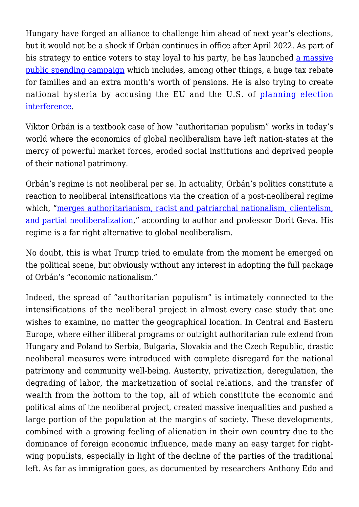Hungary have forged an alliance to challenge him ahead of next year's elections, but it would not be a shock if Orbán continues in office after April 2022. As part of his strategy to entice voters to stay loyal to his party, he has launched [a massive](https://www.bloomberg.com/news/articles/2021-10-25/orban-pulls-7-5-billion-spending-u-turn-to-swing-close-election) [public spending campaign](https://www.bloomberg.com/news/articles/2021-10-25/orban-pulls-7-5-billion-spending-u-turn-to-swing-close-election) which includes, among other things, a huge tax rebate for families and an extra month's worth of pensions. He is also trying to create national hysteria by accusing the EU and the U.S. of [planning election](https://www.aljazeera.com/news/2021/10/23/hungarys-orban-accuses-eu-us-of-meddling-in-2022-election) [interference.](https://www.aljazeera.com/news/2021/10/23/hungarys-orban-accuses-eu-us-of-meddling-in-2022-election)

Viktor Orbán is a textbook case of how "authoritarian populism" works in today's world where the economics of global neoliberalism have left nation-states at the mercy of powerful market forces, eroded social institutions and deprived people of their national patrimony.

Orbán's regime is not neoliberal per se. In actuality, Orbán's politics constitute a reaction to neoliberal intensifications via the creation of a post-neoliberal regime which, ["merges authoritarianism, racist and patriarchal nationalism, clientelism,](https://journals.sagepub.com/doi/full/10.1177/0263276421999435) [and partial neoliberalization,](https://journals.sagepub.com/doi/full/10.1177/0263276421999435)" according to author and professor Dorit Geva. His regime is a far right alternative to global neoliberalism.

No doubt, this is what Trump tried to emulate from the moment he emerged on the political scene, but obviously without any interest in adopting the full package of Orbán's "economic nationalism."

Indeed, the spread of "authoritarian populism" is intimately connected to the intensifications of the neoliberal project in almost every case study that one wishes to examine, no matter the geographical location. In Central and Eastern Europe, where either illiberal programs or outright authoritarian rule extend from Hungary and Poland to Serbia, Bulgaria, Slovakia and the Czech Republic, drastic neoliberal measures were introduced with complete disregard for the national patrimony and community well-being. Austerity, privatization, deregulation, the degrading of labor, the marketization of social relations, and the transfer of wealth from the bottom to the top, all of which constitute the economic and political aims of the neoliberal project, created massive inequalities and pushed a large portion of the population at the margins of society. These developments, combined with a growing feeling of alienation in their own country due to the dominance of foreign economic influence, made many an easy target for rightwing populists, especially in light of the decline of the parties of the traditional left. As far as immigration goes, as documented by researchers Anthony Edo and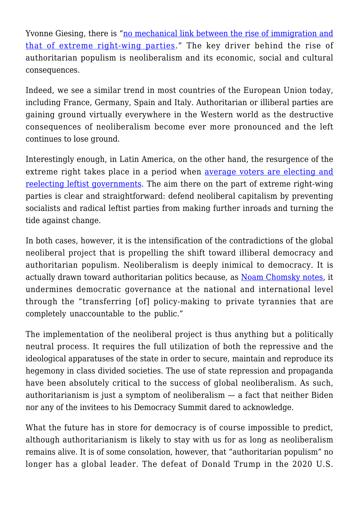Yvonne Giesing, there is ["no mechanical link between the rise of immigration and](https://www.ifo.de/DocDL/EconPol_Policy_Report_23_Immigration_Far_Right.pdf) [that of extreme right-wing parties.](https://www.ifo.de/DocDL/EconPol_Policy_Report_23_Immigration_Far_Right.pdf)" The key driver behind the rise of authoritarian populism is neoliberalism and its economic, social and cultural consequences.

Indeed, we see a similar trend in most countries of the European Union today, including France, Germany, Spain and Italy. Authoritarian or illiberal parties are gaining ground virtually everywhere in the Western world as the destructive consequences of neoliberalism become ever more pronounced and the left continues to lose ground.

Interestingly enough, in Latin America, on the other hand, the resurgence of the extreme right takes place in a period when [average voters are electing and](https://larrlasa.org/articles/10.25222/larr.466/) [reelecting leftist governments.](https://larrlasa.org/articles/10.25222/larr.466/) The aim there on the part of extreme right-wing parties is clear and straightforward: defend neoliberal capitalism by preventing socialists and radical leftist parties from making further inroads and turning the tide against change.

In both cases, however, it is the intensification of the contradictions of the global neoliberal project that is propelling the shift toward illiberal democracy and authoritarian populism. Neoliberalism is deeply inimical to democracy. It is actually drawn toward authoritarian politics because, as [Noam Chomsky notes,](https://truthout.org/articles/chomsky-we-must-not-let-masters-of-capital-define-the-post-covid-world/) it undermines democratic governance at the national and international level through the "transferring [of] policy-making to private tyrannies that are completely unaccountable to the public."

The implementation of the neoliberal project is thus anything but a politically neutral process. It requires the full utilization of both the repressive and the ideological apparatuses of the state in order to secure, maintain and reproduce its hegemony in class divided societies. The use of state repression and propaganda have been absolutely critical to the success of global neoliberalism. As such, authoritarianism is just a symptom of neoliberalism — a fact that neither Biden nor any of the invitees to his Democracy Summit dared to acknowledge.

What the future has in store for democracy is of course impossible to predict, although authoritarianism is likely to stay with us for as long as neoliberalism remains alive. It is of some consolation, however, that "authoritarian populism" no longer has a global leader. The defeat of Donald Trump in the 2020 U.S.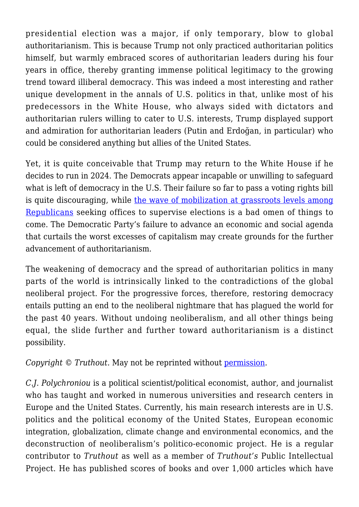presidential election was a major, if only temporary, blow to global authoritarianism. This is because Trump not only practiced authoritarian politics himself, but warmly embraced scores of authoritarian leaders during his four years in office, thereby granting immense political legitimacy to the growing trend toward illiberal democracy. This was indeed a most interesting and rather unique development in the annals of U.S. politics in that, unlike most of his predecessors in the White House, who always sided with dictators and authoritarian rulers willing to cater to U.S. interests, Trump displayed support and admiration for authoritarian leaders (Putin and Erdoğan, in particular) who could be considered anything but allies of the United States.

Yet, it is quite conceivable that Trump may return to the White House if he decides to run in 2024. The Democrats appear incapable or unwilling to safeguard what is left of democracy in the U.S. Their failure so far to pass a voting rights bill is quite discouraging, while [the wave of mobilization at grassroots levels among](https://www.nytimes.com/2021/12/11/us/politics/trust-in-elections-trump-democracy.html) [Republicans](https://www.nytimes.com/2021/12/11/us/politics/trust-in-elections-trump-democracy.html) seeking offices to supervise elections is a bad omen of things to come. The Democratic Party's failure to advance an economic and social agenda that curtails the worst excesses of capitalism may create grounds for the further advancement of authoritarianism.

The weakening of democracy and the spread of authoritarian politics in many parts of the world is intrinsically linked to the contradictions of the global neoliberal project. For the progressive forces, therefore, restoring democracy entails putting an end to the neoliberal nightmare that has plagued the world for the past 40 years. Without undoing neoliberalism, and all other things being equal, the slide further and further toward authoritarianism is a distinct possibility.

*Copyright* © Truthout. May not be reprinted without <u>permission</u>.

*C.J. Polychroniou* is a political scientist/political economist, author, and journalist who has taught and worked in numerous universities and research centers in Europe and the United States. Currently, his main research interests are in U.S. politics and the political economy of the United States, European economic integration, globalization, climate change and environmental economics, and the deconstruction of neoliberalism's politico-economic project. He is a regular contributor to *Truthout* as well as a member of *Truthout's* Public Intellectual Project. He has published scores of books and over 1,000 articles which have